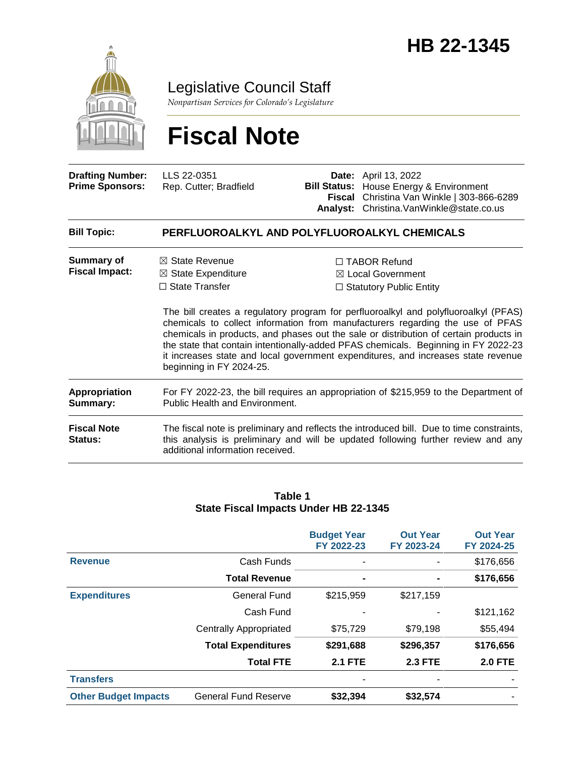

Legislative Council Staff

*Nonpartisan Services for Colorado's Legislature*

# **Fiscal Note**

additional information received.

| <b>Drafting Number:</b><br><b>Prime Sponsors:</b> | LLS 22-0351<br>Rep. Cutter; Bradfield                                                                                         | <b>Bill Status:</b><br><b>Analyst:</b>                                                                                                                                                                                                                                                                                                                                                                                                                                                                                  | <b>Date:</b> April 13, 2022<br>House Energy & Environment<br>Fiscal Christina Van Winkle   303-866-6289<br>Christina. VanWinkle@state.co.us                                    |
|---------------------------------------------------|-------------------------------------------------------------------------------------------------------------------------------|-------------------------------------------------------------------------------------------------------------------------------------------------------------------------------------------------------------------------------------------------------------------------------------------------------------------------------------------------------------------------------------------------------------------------------------------------------------------------------------------------------------------------|--------------------------------------------------------------------------------------------------------------------------------------------------------------------------------|
| <b>Bill Topic:</b>                                | PERFLUOROALKYL AND POLYFLUOROALKYL CHEMICALS                                                                                  |                                                                                                                                                                                                                                                                                                                                                                                                                                                                                                                         |                                                                                                                                                                                |
| <b>Summary of</b><br><b>Fiscal Impact:</b>        | $\boxtimes$ State Revenue<br>$\boxtimes$ State Expenditure<br>$\Box$ State Transfer<br>beginning in FY 2024-25.               | $\Box$ TABOR Refund<br>⊠ Local Government<br>$\Box$ Statutory Public Entity<br>The bill creates a regulatory program for perfluoroalkyl and polyfluoroalkyl (PFAS)<br>chemicals to collect information from manufacturers regarding the use of PFAS<br>chemicals in products, and phases out the sale or distribution of certain products in<br>the state that contain intentionally-added PFAS chemicals. Beginning in FY 2022-23<br>it increases state and local government expenditures, and increases state revenue |                                                                                                                                                                                |
| Appropriation<br>Summary:                         | For FY 2022-23, the bill requires an appropriation of \$215,959 to the Department of<br><b>Public Health and Environment.</b> |                                                                                                                                                                                                                                                                                                                                                                                                                                                                                                                         |                                                                                                                                                                                |
| <b>Fiscal Note</b><br><b>Status:</b>              |                                                                                                                               |                                                                                                                                                                                                                                                                                                                                                                                                                                                                                                                         | The fiscal note is preliminary and reflects the introduced bill. Due to time constraints,<br>this analysis is preliminary and will be updated following further review and any |

### **Table 1 State Fiscal Impacts Under HB 22-1345**

|                             |                               | <b>Budget Year</b><br>FY 2022-23 | <b>Out Year</b><br>FY 2023-24 | <b>Out Year</b><br>FY 2024-25 |
|-----------------------------|-------------------------------|----------------------------------|-------------------------------|-------------------------------|
| <b>Revenue</b>              | Cash Funds                    | ۰                                |                               | \$176,656                     |
|                             | <b>Total Revenue</b>          | $\blacksquare$                   |                               | \$176,656                     |
| <b>Expenditures</b>         | General Fund                  | \$215,959                        | \$217,159                     |                               |
|                             | Cash Fund                     |                                  |                               | \$121,162                     |
|                             | <b>Centrally Appropriated</b> | \$75,729                         | \$79,198                      | \$55,494                      |
|                             | <b>Total Expenditures</b>     | \$291,688                        | \$296,357                     | \$176,656                     |
|                             | <b>Total FTE</b>              | <b>2.1 FTE</b>                   | <b>2.3 FTE</b>                | <b>2.0 FTE</b>                |
| <b>Transfers</b>            |                               | ۰                                |                               |                               |
| <b>Other Budget Impacts</b> | <b>General Fund Reserve</b>   | \$32,394                         | \$32,574                      |                               |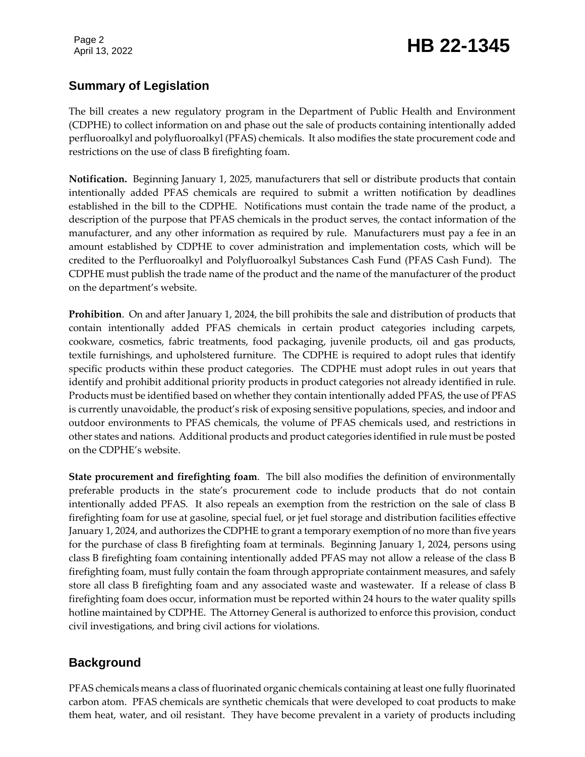## **Summary of Legislation**

The bill creates a new regulatory program in the Department of Public Health and Environment (CDPHE) to collect information on and phase out the sale of products containing intentionally added perfluoroalkyl and polyfluoroalkyl (PFAS) chemicals. It also modifies the state procurement code and restrictions on the use of class B firefighting foam.

**Notification.** Beginning January 1, 2025, manufacturers that sell or distribute products that contain intentionally added PFAS chemicals are required to submit a written notification by deadlines established in the bill to the CDPHE. Notifications must contain the trade name of the product, a description of the purpose that PFAS chemicals in the product serves, the contact information of the manufacturer, and any other information as required by rule. Manufacturers must pay a fee in an amount established by CDPHE to cover administration and implementation costs, which will be credited to the Perfluoroalkyl and Polyfluoroalkyl Substances Cash Fund (PFAS Cash Fund). The CDPHE must publish the trade name of the product and the name of the manufacturer of the product on the department's website.

**Prohibition**. On and after January 1, 2024, the bill prohibits the sale and distribution of products that contain intentionally added PFAS chemicals in certain product categories including carpets, cookware, cosmetics, fabric treatments, food packaging, juvenile products, oil and gas products, textile furnishings, and upholstered furniture. The CDPHE is required to adopt rules that identify specific products within these product categories. The CDPHE must adopt rules in out years that identify and prohibit additional priority products in product categories not already identified in rule. Products must be identified based on whether they contain intentionally added PFAS, the use of PFAS is currently unavoidable, the product's risk of exposing sensitive populations, species, and indoor and outdoor environments to PFAS chemicals, the volume of PFAS chemicals used, and restrictions in other states and nations. Additional products and product categories identified in rule must be posted on the CDPHE's website.

**State procurement and firefighting foam**. The bill also modifies the definition of environmentally preferable products in the state's procurement code to include products that do not contain intentionally added PFAS. It also repeals an exemption from the restriction on the sale of class B firefighting foam for use at gasoline, special fuel, or jet fuel storage and distribution facilities effective January 1, 2024, and authorizes the CDPHE to grant a temporary exemption of no more than five years for the purchase of class B firefighting foam at terminals. Beginning January 1, 2024, persons using class B firefighting foam containing intentionally added PFAS may not allow a release of the class B firefighting foam, must fully contain the foam through appropriate containment measures, and safely store all class B firefighting foam and any associated waste and wastewater. If a release of class B firefighting foam does occur, information must be reported within 24 hours to the water quality spills hotline maintained by CDPHE. The Attorney General is authorized to enforce this provision, conduct civil investigations, and bring civil actions for violations.

## **Background**

PFAS chemicals means a class of fluorinated organic chemicals containing at least one fully fluorinated carbon atom. PFAS chemicals are synthetic chemicals that were developed to coat products to make them heat, water, and oil resistant. They have become prevalent in a variety of products including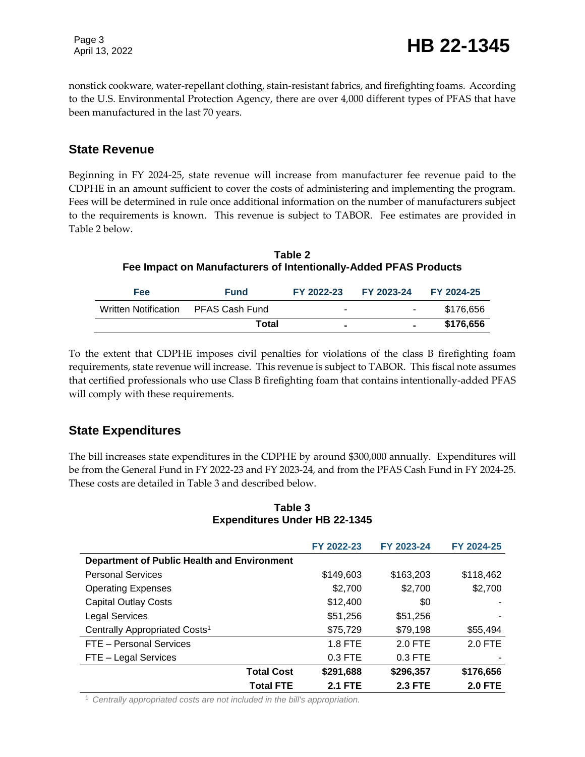Page 3

nonstick cookware, water-repellant clothing, stain-resistant fabrics, and firefighting foams. According to the U.S. Environmental Protection Agency, there are over 4,000 different types of PFAS that have been manufactured in the last 70 years.

### **State Revenue**

Beginning in FY 2024-25, state revenue will increase from manufacturer fee revenue paid to the CDPHE in an amount sufficient to cover the costs of administering and implementing the program. Fees will be determined in rule once additional information on the number of manufacturers subject to the requirements is known. This revenue is subject to TABOR. Fee estimates are provided in Table 2 below.

**Table 2 Fee Impact on Manufacturers of Intentionally-Added PFAS Products**

| <b>Fee</b>                          | <b>Fund</b> | FY 2022-23     | FY 2023-24 FY 2024-25 |           |
|-------------------------------------|-------------|----------------|-----------------------|-----------|
| Written Notification PFAS Cash Fund |             | $\blacksquare$ | $\sim$ 100 $\mu$      | \$176,656 |
|                                     | Total       | $\blacksquare$ |                       | \$176,656 |

To the extent that CDPHE imposes civil penalties for violations of the class B firefighting foam requirements, state revenue will increase. This revenue is subject to TABOR. This fiscal note assumes that certified professionals who use Class B firefighting foam that contains intentionally-added PFAS will comply with these requirements.

### **State Expenditures**

The bill increases state expenditures in the CDPHE by around \$300,000 annually. Expenditures will be from the General Fund in FY 2022-23 and FY 2023-24, and from the PFAS Cash Fund in FY 2024-25. These costs are detailed in Table 3 and described below.

| Table 3                              |  |  |  |
|--------------------------------------|--|--|--|
| <b>Expenditures Under HB 22-1345</b> |  |  |  |

|                                             | FY 2022-23     | FY 2023-24     | FY 2024-25     |
|---------------------------------------------|----------------|----------------|----------------|
| Department of Public Health and Environment |                |                |                |
| <b>Personal Services</b>                    | \$149,603      | \$163,203      | \$118,462      |
| <b>Operating Expenses</b>                   | \$2,700        | \$2,700        | \$2,700        |
| <b>Capital Outlay Costs</b>                 | \$12,400       | \$0            |                |
| <b>Legal Services</b>                       | \$51,256       | \$51,256       |                |
| Centrally Appropriated Costs <sup>1</sup>   | \$75,729       | \$79,198       | \$55,494       |
| FTE - Personal Services                     | 1.8 FTE        | $2.0$ FTE      | $2.0$ FTE      |
| FTE - Legal Services                        | 0.3 FTE        | 0.3 FTE        |                |
| <b>Total Cost</b>                           | \$291,688      | \$296,357      | \$176,656      |
| <b>Total FTE</b>                            | <b>2.1 FTE</b> | <b>2.3 FTE</b> | <b>2.0 FTE</b> |

<sup>1</sup> *Centrally appropriated costs are not included in the bill's appropriation.*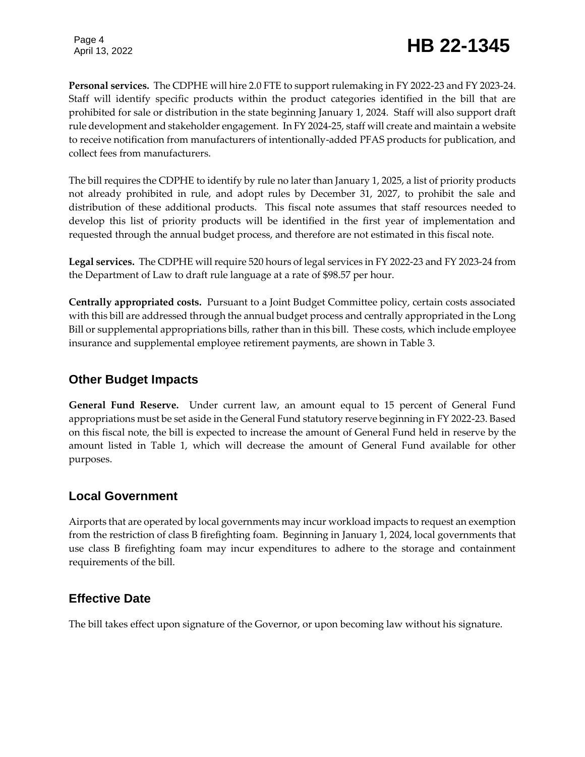# Page 4<br>April 13, 2022 **HB 22-1345**

**Personal services.** The CDPHE will hire 2.0 FTE to support rulemaking in FY 2022-23 and FY 2023-24. Staff will identify specific products within the product categories identified in the bill that are prohibited for sale or distribution in the state beginning January 1, 2024. Staff will also support draft rule development and stakeholder engagement. In FY 2024-25, staff will create and maintain a website to receive notification from manufacturers of intentionally-added PFAS products for publication, and collect fees from manufacturers.

The bill requires the CDPHE to identify by rule no later than January 1, 2025, a list of priority products not already prohibited in rule, and adopt rules by December 31, 2027, to prohibit the sale and distribution of these additional products. This fiscal note assumes that staff resources needed to develop this list of priority products will be identified in the first year of implementation and requested through the annual budget process, and therefore are not estimated in this fiscal note.

**Legal services.** The CDPHE will require 520 hours of legal services in FY 2022-23 and FY 2023-24 from the Department of Law to draft rule language at a rate of \$98.57 per hour.

**Centrally appropriated costs.** Pursuant to a Joint Budget Committee policy, certain costs associated with this bill are addressed through the annual budget process and centrally appropriated in the Long Bill or supplemental appropriations bills, rather than in this bill. These costs, which include employee insurance and supplemental employee retirement payments, are shown in Table 3.

### **Other Budget Impacts**

**General Fund Reserve.** Under current law, an amount equal to 15 percent of General Fund appropriations must be set aside in the General Fund statutory reserve beginning in FY 2022-23. Based on this fiscal note, the bill is expected to increase the amount of General Fund held in reserve by the amount listed in Table 1, which will decrease the amount of General Fund available for other purposes.

### **Local Government**

Airports that are operated by local governments may incur workload impacts to request an exemption from the restriction of class B firefighting foam. Beginning in January 1, 2024, local governments that use class B firefighting foam may incur expenditures to adhere to the storage and containment requirements of the bill.

### **Effective Date**

The bill takes effect upon signature of the Governor, or upon becoming law without his signature.